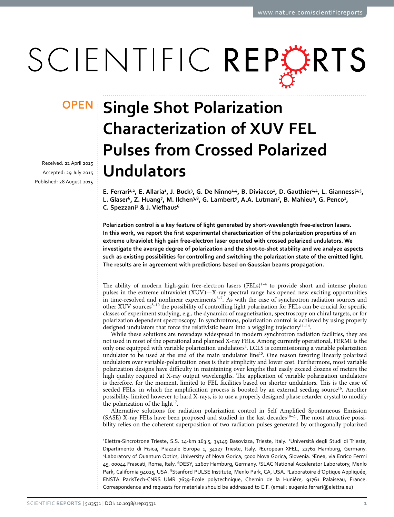# SCIENTIFIC REPERTS

received: 22 April 2015 accepted: 29 July 2015 Published: 28 August 2015

## **OPEN** Single Shot Polarization **Characterization of XUV FEL Pulses from Crossed Polarized Undulators**

E. Ferrari<sup>1,2</sup>, E. Allaria<sup>1</sup>, J. Buck<sup>3</sup>, G. De Ninno<sup>1,4</sup>, B. Diviacco<sup>1</sup>, D. Gauthier<sup>1,4</sup>, L. Giannessi<sup>1,5</sup>, L. Glaser<sup>6</sup>, Z. Huang<sup>7</sup>, M. Ilchen<sup>3,8</sup>, G. Lambert<sup>9</sup>, A.A. Lutman<sup>7</sup>, B. Mahieu<sup>9</sup>, G. Penco<sup>1</sup>, **C. Spezzani1 & J. Viefhaus<sup>6</sup>**

**Polarization control is a key feature of light generated by short-wavelength free-electron lasers. In this work, we report the first experimental characterization of the polarization properties of an extreme ultraviolet high gain free-electron laser operated with crossed polarized undulators. We investigate the average degree of polarization and the shot-to-shot stability and we analyze aspects such as existing possibilities for controlling and switching the polarization state of the emitted light. The results are in agreement with predictions based on Gaussian beams propagation.**

The ability of modern high-gain free-electron lasers  $(FEIs)^{1-4}$  to provide short and intense photon pulses in the extreme ultraviolet (XUV)—X-ray spectral range has opened new exciting opportunities in time-resolved and nonlinear experiments<sup>5-7</sup>. As with the case of synchrotron radiation sources and other XUV sources<sup>8-10</sup> the possibility of controlling light polarization for FELs can be crucial for specific classes of experiment studying, e.g., the dynamics of magnetization, spectroscopy on chiral targets, or for polarization dependent spectroscopy. In synchrotrons, polarization control is achieved by using properly designed undulators that force the relativistic beam into a wiggling trajectory<sup>11-14</sup>.

While these solutions are nowadays widespread in modern synchrotron radiation facilities, they are not used in most of the operational and planned X-ray FELs. Among currently operational, FERMI is the only one equipped with variable polarization undulators<sup>[4](#page-5-1)</sup>. LCLS is commissioning a variable polarization undulator to be used at the end of the main undulator line<sup>15</sup>. One reason favoring linearly polarized undulators over variable-polarization ones is their simplicity and lower cost. Furthermore, most variable polarization designs have difficulty in maintaining over lengths that easily exceed dozens of meters the high quality required at X-ray output wavelengths. The application of variable polarization undulators is therefore, for the moment, limited to FEL facilities based on shorter undulators. This is the case of seeded FELs, in which the amplification process is boosted by an external seeding source<sup>16</sup>. Another possibility, limited however to hard X-rays, is to use a properly designed phase retarder crystal to modify the polarization of the light $17$ .

Alternative solutions for radiation polarization control in Self Amplified Spontaneous Emission (SASE) X-ray FELs have been proposed and studied in the last decades<sup>18–21</sup>. The most attractive possibility relies on the coherent superposition of two radiation pulses generated by orthogonally polarized

<sup>1</sup>Elettra-Sincrotrone Trieste, S.S. 14-km 163.5, 34149 Basovizza, Trieste, Italy. <sup>2</sup>Università degli Studi di Trieste, Dipartimento di Fisica, Piazzale Europa 1, 34127 Trieste, Italy. <sup>3</sup>European XFEL, 22761 Hamburg, Germany. 4 Laboratory of Quantum Optics, University of Nova Gorica, 5000 Nova Gorica, Slovenia. 5 Enea, via Enrico Fermi 45, 00044 Frascati, Roma, Italy. <sup>6</sup>DESY, 22607 Hamburg, Germany. <sup>7</sup>SLAC National Accelerator Laboratory, Menlo Park, California 94025, USA. <sup>8</sup>Stanford PULSE Institute, Menlo Park, CA, USA. <sup>9</sup>Laboratoire d'Optique Appliquée, ENSTA ParisTech-CNRS UMR 7639-Ecole polytechnique, Chemin de la Huniére, 91761 Palaiseau, France. Correspondence and requests for materials should be addressed to E.F. (email: [eugenio.ferrari@elettra.eu](mailto:eugenio.ferrari@elettra.eu))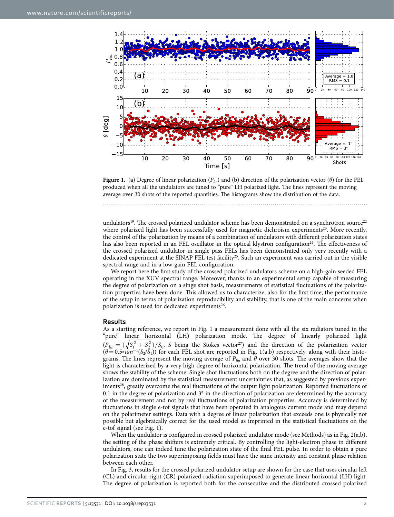

<span id="page-1-0"></span>

undulators<sup>19</sup>. The crossed polarized undulator scheme has been demonstrated on a synchrotron source<sup>[22](#page-6-8)</sup> where polarized light has been successfully used for magnetic dichroism experiments<sup>23</sup>. More recently, the control of the polarization by means of a combination of undulators with different polarization states has also been reported in an FEL oscillator in the optical klystron configuration<sup>24</sup>. The effectiveness of the crossed polarized undulator in single pass FELs has been demonstrated only very recently with a dedicated experiment at the SINAP FEL test facility<sup>25</sup>. Such an experiment was carried out in the visible spectral range and in a low-gain FEL configuration.

We report here the first study of the crossed polarized undulators scheme on a high-gain seeded FEL operating in the XUV spectral range. Moreover, thanks to an experimental setup capable of measuring the degree of polarization on a singe shot basis, measurements of statistical fluctuations of the polarization properties have been done. This allowed us to characterize, also for the first time, the performance of the setup in terms of polarization reproducibility and stability, that is one of the main concerns when polarization is used for dedicated experiments<sup>26</sup>.

#### **Results**

As a starting reference, we report in [Fig. 1](#page-1-0) a measurement done with all the six radiators tuned in the "pure" linear horizontal (LH) polarization mode. The degree of linearly polarized light  $(P_{lin} = (\sqrt{S_1^2 + S_2^2})/S_0$ , *S* being the Stokes vector<sup>27</sup>) and the direction of the polarization vector  $(\theta = 0.5 * tan^{-1}(S_2/S_1))$  for each FEL shot are reported in Fig. 1(a,b) respectively, along with their histograms. The lines represent the moving average of  $P_{lin}$  and  $\theta$  over 30 shots. The averages show that the light is characterized by a very high degree of horizontal polarization. The trend of the moving average shows the stability of the scheme. Single shot fluctuations both on the degree and the direction of polarization are dominated by the statistical measurement uncertainties that, as suggested by previous experiments<sup>28</sup>, greatly overcome the real fluctuations of the output light polarization. Reported fluctuations of 0.1 in the degree of polarization and 3° in the direction of polarization are determined by the accuracy of the measurement and not by real fluctuations of polarization properties. Accuracy is determined by fluctuations in single e-tof signals that have been operated in analogous current mode and may depend on the polarimeter settings. Data with a degree of linear polarization that exceeds one is physically not possible but algebraically correct for the used model as imprinted in the statistical fluctuations on the e-tof signal (see [Fig. 1\)](#page-1-0).

When the undulator is configured in crossed polarized undulator mode (see Methods) as in [Fig. 2\(a,b\)](#page-2-0), the setting of the phase shifters is extremely critical. By controlling the light-electron phase in different undulators, one can indeed tune the polarization state of the final FEL pulse. In order to obtain a pure polarization state the two superimposing fields must have the same intensity and constant phase relation between each other.

In [Fig. 3](#page-3-0), results for the crossed polarized undulator setup are shown for the case that uses circular left (CL) and circular right (CR) polarized radiation superimposed to generate linear horizontal (LH) light. The degree of polarization is reported both for the consecutive and the distributed crossed polarized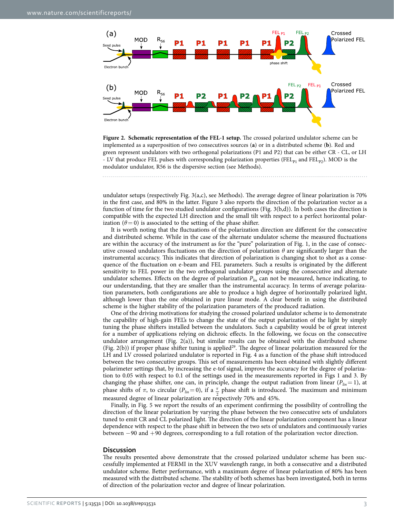

<span id="page-2-0"></span>

undulator setups (respectively [Fig. 3\(a,c\),](#page-3-0) see Methods). The average degree of linear polarization is 70% in the first case, and 80% in the latter. [Figure 3](#page-3-0) also reports the direction of the polarization vector as a function of time for the two studied undulator configurations ([Fig. 3\(b,d](#page-3-0))). In both cases the direction is compatible with the expected LH direction and the small tilt with respect to a perfect horizontal polarization  $(\theta = 0)$  is associated to the setting of the phase shifter.

It is worth noting that the fluctuations of the polarization direction are different for the consecutive and distributed scheme. While in the case of the alternate undulator scheme the measured fluctuations are within the accuracy of the instrument as for the "pure" polarization of [Fig. 1](#page-1-0), in the case of consecutive crossed undulators fluctuations on the direction of polarization *θ* are significantly larger than the instrumental accuracy. This indicates that direction of polarization is changing shot to shot as a consequence of the fluctuation on e-beam and FEL parameters. Such a results is originated by the different sensitivity to FEL power in the two orthogonal undulator groups using the consecutive and alternate undulator schemes. Effects on the degree of polarization *Plin* can not be measured, hence indicating, to our understanding, that they are smaller than the instrumental accuracy. In terms of average polarization parameters, both configurations are able to produce a high degree of horizontally polarized light, although lower than the one obtained in pure linear mode. A clear benefit in using the distributed scheme is the higher stability of the polarization parameters of the produced radiation.

One of the driving motivations for studying the crossed polarized undulator scheme is to demonstrate the capability of high-gain FEL's to change the state of the output polarization of the light by simply tuning the phase shifters installed between the undulators. Such a capability would be of great interest for a number of applications relying on dichroic effects. In the following, we focus on the consecutive undulator arrangement ([Fig. 2\(a\)\)](#page-2-0), but similar results can be obtained with the distributed scheme ([Fig. 2\(b\)\)](#page-2-0) if proper phase shifter tuning is applie[d29](#page-6-15). The degree of linear polarization measured for the LH and LV crossed polarized undulator is reported in [Fig. 4](#page-3-1) as a function of the phase shift introduced between the two consecutive groups. This set of measurements has been obtained with slightly different polarimeter settings that, by increasing the e-tof signal, improve the accuracy for the degree of polarization to 0.05 with respect to 0.1 of the settings used in the measurements reported in [Figs 1](#page-1-0) and [3](#page-3-0). By changing the phase shifter, one can, in principle, change the output radiation from linear  $(P_{lin} = 1)$ , at phase shifts of  $\pi$ , to circular ( $P_{lin} = 0$ ), if a  $\pi$  phase shift is introduced. The maximum and minimum measured degree of linear polarization are respectively 70% and 45%.

Finally, in [Fig. 5](#page-4-0) we report the results of an experiment confirming the possibility of controlling the direction of the linear polarization by varying the phase between the two consecutive sets of undulators tuned to emit CR and CL polarized light. The direction of the linear polarization component has a linear dependence with respect to the phase shift in between the two sets of undulators and continuously varies between −90 and +90 degrees, corresponding to a full rotation of the polarization vector direction.

#### **Discussion**

The results presented above demonstrate that the crossed polarized undulator scheme has been successfully implemented at FERMI in the XUV wavelength range, in both a consecutive and a distributed undulator scheme. Better performance, with a maximum degree of linear polarization of 80% has been measured with the distributed scheme. The stability of both schemes has been investigated, both in terms of direction of the polarization vector and degree of linear polarization.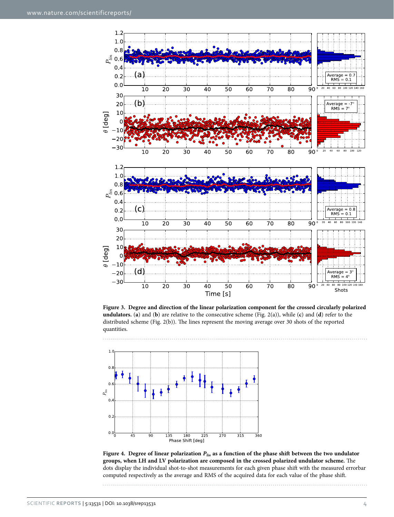

<span id="page-3-0"></span>**Figure 3. Degree and direction of the linear polarization component for the crossed circularly polarized undulators.** (**a**) and (**b**) are relative to the consecutive scheme [\(Fig. 2\(a\)\)](#page-2-0), while (**c**) and (**d**) refer to the distributed scheme [\(Fig. 2\(b\)\)](#page-2-0). The lines represent the moving average over 30 shots of the reported quantities.



<span id="page-3-1"></span>**Figure 4. Degree of linear polarization** *Plin* **as a function of the phase shift between the two undulator groups, when LH and LV polarization are composed in the crossed polarized undulator scheme.** The dots display the individual shot-to-shot measurements for each given phase shift with the measured errorbar computed respectively as the average and RMS of the acquired data for each value of the phase shift.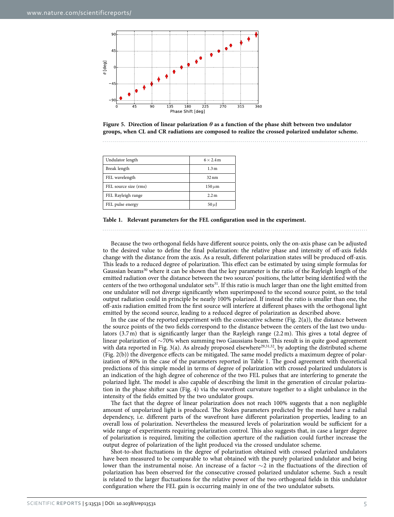

<span id="page-4-0"></span>

<span id="page-4-1"></span>

| Undulator length      | $6 \times 2.4$ m |
|-----------------------|------------------|
| Break length          | 1.3 <sub>m</sub> |
| FEL wavelength        | $32 \text{ nm}$  |
| FEL source size (rms) | $150 \,\mu m$    |
| FEL Rayleigh range    | 2.2 <sub>m</sub> |
| FEL pulse energy      | 50 $\mu$ J       |



Because the two orthogonal fields have different source points, only the on-axis phase can be adjusted to the desired value to define the final polarization: the relative phase and intensity of off-axis fields change with the distance from the axis. As a result, different polarization states will be produced off-axis. This leads to a reduced degree of polarization. This effect can be estimated by using simple formulas for Gaussian beams<sup>30</sup> where it can be shown that the key parameter is the ratio of the Rayleigh length of the emitted radiation over the distance between the two sources' positions, the latter being identified with the centers of the two orthogonal undulator sets<sup>31</sup>. If this ratio is much larger than one the light emitted from one undulator will not diverge significantly when superimposed to the second source point, so the total output radiation could in principle be nearly 100% polarized. If instead the ratio is smaller than one, the off-axis radiation emitted from the first source will interfere at different phases with the orthogonal light emitted by the second source, leading to a reduced degree of polarization as described above.

In the case of the reported experiment with the consecutive scheme [\(Fig. 2\(a\)](#page-2-0)), the distance between the source points of the two fields correspond to the distance between the centers of the last two undulators (3.7m) that is significantly larger than the Rayleigh range (2.2m). This gives a total degree of linear polarization of ∼70% when summing two Gaussians beam. This result is in quite good agreement with data reported in [Fig. 3\(a\).](#page-3-0) As already proposed elsewhere<sup>29,[31](#page-6-17),32</sup>, by adopting the distributed scheme ([Fig. 2\(b\)](#page-2-0)) the divergence effects can be mitigated. The same model predicts a maximum degree of polarization of 80% in the case of the parameters reported in [Table 1](#page-4-1). The good agreement with theoretical predictions of this simple model in terms of degree of polarization with crossed polarized undulators is an indication of the high degree of coherence of the two FEL pulses that are interfering to generate the polarized light. The model is also capable of describing the limit in the generation of circular polarization in the phase shifter scan [\(Fig. 4](#page-3-1)) via the wavefront curvature together to a slight unbalance in the intensity of the fields emitted by the two undulator groups.

The fact that the degree of linear polarization does not reach 100% suggests that a non negligible amount of unpolarized light is produced. The Stokes parameters predicted by the model have a radial dependency, i.e. different parts of the wavefront have different polarization properties, leading to an overall loss of polarization. Nevertheless the measured levels of polarization would be sufficient for a wide range of experiments requiring polarization control. This also suggests that, in case a larger degree of polarization is required, limiting the collection aperture of the radiation could further increase the output degree of polarization of the light produced via the crossed undulator scheme.

Shot-to-shot fluctuations in the degree of polarization obtained with crossed polarized undulators have been measured to be comparable to what obtained with the purely polarized undulator and being lower than the instrumental noise. An increase of a factor ∼2 in the fluctuations of the direction of polarization has been observed for the consecutive crossed polarized undulator scheme. Such a result is related to the larger fluctuations for the relative power of the two orthogonal fields in this undulator configuration where the FEL gain is occurring mainly in one of the two undulator subsets.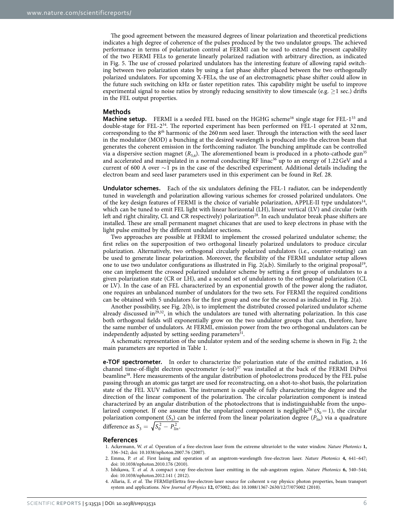The good agreement between the measured degrees of linear polarization and theoretical predictions indicates a high degree of coherence of the pulses produced by the two undulator groups. The achieved performance in terms of polarization control at FERMI can be used to extend the present capability of the two FERMI FELs to generate linearly polarized radiation with arbitrary direction, as indicated in [Fig. 5.](#page-4-0) The use of crossed polarized undulators has the interesting feature of allowing rapid switching between two polarization states by using a fast phase shifter placed between the two orthogonally polarized undulators. For upcoming X-FELs, the use of an electromagnetic phase shifter could allow in the future such switching on kHz or faster repetition rates. This capability might be useful to improve experimental signal to noise ratios by strongly reducing sensitivity to slow timescale (e.g.  $\geq$  1 sec.) drifts in the FEL output properties.

#### **Methods**

**Machine setup.** FERMI is a seeded FEL based on the HGHG scheme<sup>16</sup> single stage for FEL-1<sup>33</sup> and double-stage for FEL-2[34.](#page-6-20) The reported experiment has been performed on FEL-1 operated at 32nm, corresponding to the 8*th* harmonic of the 260nm seed laser. Through the interaction with the seed laser in the modulator (MOD) a bunching at the desired wavelength is produced into the electron beam that generates the coherent emission in the forthcoming radiator. The bunching amplitude can be controlled via a dispersive section magnet  $(R_{5,6})$ . The aforementioned beam is produced in a photo-cathode gun<sup>[35](#page-6-21)</sup> and accelerated and manipulated in a normal conducting RF linac<sup>36</sup> up to an energy of 1.22 GeV and a current of 600 A over ∼1 ps in the case of the described experiment. Additional details including the electron beam and seed laser parameters used in this experiment can be found in Ref. [28](#page-6-14).

**Undulator schemes.** Each of the six undulators defining the FEL-1 radiator, can be independently tuned in wavelength and polarization allowing various schemes for crossed polarized undulators. One of the key design features of FERMI is the choice of variable polarization, APPLE-II type undulators<sup>[14](#page-6-23)</sup>, which can be tuned to emit FEL light with linear horizontal (LH), linear vertical (LV) and circular (with left and right chirality, CL and CR respectively) polarization<sup>28</sup>. In each undulator break phase shifters are installed. These are small permanent magnet chicanes that are used to keep electrons in phase with the light pulse emitted by the different undulator sections.

Two approaches are possible at FERMI to implement the crossed polarized undulator scheme; the first relies on the superposition of two orthogonal linearly polarized undulators to produce circular polarization. Alternatively, two orthogonal circularly polarized undulators (i.e., counter-rotating) can be used to generate linear polarization. Moreover, the flexibility of the FERMI undulator setup allows one to use two undulator configurations as illustrated in [Fig. 2\(a,b\)](#page-2-0). Similarly to the original proposal<sup>[19](#page-6-7)</sup>, one can implement the crossed polarized undulator scheme by setting a first group of undulators to a given polarization state (CR or LH), and a second set of undulators to the orthogonal polarization (CL or LV). In the case of an FEL characterized by an exponential growth of the power along the radiator, one requires an unbalanced number of undulators for the two sets. For FERMI the required conditions can be obtained with 5 undulators for the first group and one for the second as indicated in [Fig. 2\(a\).](#page-2-0)

Another possibility, see [Fig. 2\(b\),](#page-2-0) is to implement the distributed crossed polarized undulator scheme already discussed in $^{29,32}$ , in which the undulators are tuned with alternating polarization. In this case both orthogonal fields will exponentially grow on the two undulator groups that can, therefore, have the same number of undulators. At FERMI, emission power from the two orthogonal undulators can be independently adjusted by setting seeding parameters $31$ .

A schematic representation of the undulator system and of the seeding scheme is shown in [Fig. 2](#page-2-0); the main parameters are reported in [Table 1](#page-4-1).

**e-TOF spectrometer.** In order to characterize the polarization state of the emitted radiation, a 16 channel time-of-flight electron spectrometer (e-tof) $37$  was installed at the back of the FERMI DiProi beamline<sup>38</sup>. Here measurements of the angular distribution of photoelectrons produced by the FEL pulse passing through an atomic gas target are used for reconstructing, on a shot-to-shot basis, the polarization state of the FEL XUV radiation. The instrument is capable of fully characterizing the degree and the direction of the linear component of the polarization. The circular polarization component is instead characterized by an angular distribution of the photoelectrons that is indistinguishable from the unpolarized componet. If one assume that the unpolarized component is negligible<sup>28</sup> ( $S_0$  = 1), the circular polarization component (*S*3) can be inferred from the linear polarization degree (*Plin*) via a quadrature difference as  $S_3 = \sqrt{S_0^2 - P_{lin}^2}$ .

#### **References**

- <span id="page-5-0"></span>1. Ackermann, W. *et al.* Operation of a free-electron laser from the extreme ultraviolet to the water window. *Nature Photonics* **1,** 336–342; doi: 10.1038/nphoton.2007.76 (2007).
- 2. Emma, P. *et al.* First lasing and operation of an angstrom-wavelength free-electron laser. *Nature Photonics* **4,** 641–647; doi: 10.1038/nphoton.2010.176 (2010).
- 3. Ishikawa, T. *et al.* A compact x-ray free-electron laser emitting in the sub-angstrom region. *Nature Photonics* **6,** 540–544; doi: 10.1038/nphoton.2012.141 ( 2012).
- <span id="page-5-1"></span>4. Allaria, E. *et al.* The FERMI@Elettra free-electron-laser source for coherent x-ray physics: photon properties, beam transport system and applications. *New Journal of Physics* **12,** 075002; doi: 10.1088/1367-2630/12/7/075002 (2010).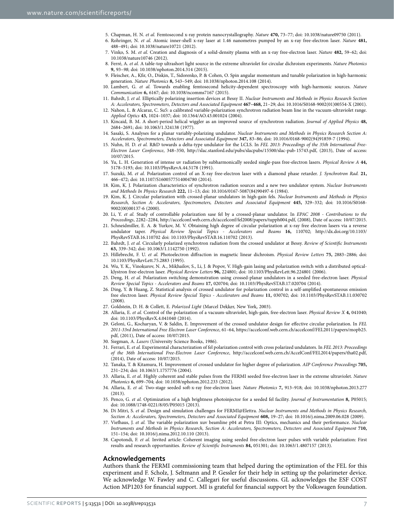- <span id="page-6-0"></span>5. Chapman, H. N. *et al.* Femtosecond x-ray protein nanocrystallography. *Nature* **470,** 73–77; doi: 10.1038/nature09750 (2011). 6. Rohringer, N. *et al.* Atomic inner-shell x-ray laser at 1.46 nanometres pumped by an x-ray free-electron laser. *Nature* **481,**
- 488–491; doi: 10.1038/nature10721 (2012).
- 7. Vinko, S. M. *et al.* Creation and diagnosis of a solid-density plasma with an x-ray free-electron laser. *Nature* **482,** 59–62; doi: 10.1038/nature10746 (2012).
- <span id="page-6-1"></span>8. Ferré, A. *et al.* A table-top ultrashort light source in the extreme ultraviolet for circular dichroism experiments. *Nature Photonics* **9,** 93–*98*; doi: 10.1038/nphoton.2014.314 (2015).
- 9. Fleischer, A., Kfir, O., Diskin, T., Sidorenko, P. & Cohen, O. Spin angular momentum and tunable polarization in high-harmonic generation. *Nature Photonics* **8,** 543–549; doi: 10.1038/nphoton.2014.108 (2014).
- 10. Lambert, G. *et al.* Towards enabling femtosecond helicity-dependent spectroscopy with high-harmonic sources. *Nature Communication* **6,** 6167; doi: 10.1038/ncomms7167 (2015).
- <span id="page-6-2"></span>11. Bahrdt, J. *et al.* Elliptically polarizing insertion devices at Bessy II. *Nuclear Instruments and Methods in Physics Research Section A: Accelerators, Spectrometers, Detectors and Associated Equipment* **467–468,** 21–29; doi: 10.1016/S0168-9002(01)00554-X (2001).
- 12. Nahon, L. & Alcaraz, C. Su5: a calibrated variable-polarization synchrotron radiation beam line in the vacuum-ultraviolet range. *Applied Optics* **43,** 1024–1037; doi: 10.1364/AO.43.001024 (2004).
- 13. Kincaid, B. M. A short-period helical wiggler as an improved source of synchrotron radiation. *Journal of Applied Physics* **48,** 2684–2691; doi: 10.1063/1.324138 (1977).
- <span id="page-6-23"></span>14. Sasaki, S. Analyses for a planar variably-polarizing undulator. *Nuclear Instruments and Methods in Physics Research Section A: Accelerators, Spectrometers, Detectors and Associated Equipment* **347,** 83–86; doi: 10.1016/0168-9002(94)91859-7 (1994).
- <span id="page-6-3"></span>15. Nuhn, H. D. *et al.* R&D towards a delta-type undulator for the LCLS. In *FEL 2013: Proceedings of the 35th International Free-Electron Laser Conference*, 348–350, [http://slac.stanford.edu/pubs/slacpubs/15500/slac-pub-15743.pdf,](http://slac.stanford.edu/pubs/slacpubs/15500/slac-pub-15743.pdf) (2013), Date of access: 10/07/2015.
- <span id="page-6-4"></span>16. Yu, L. H. Generation of intense uv radiation by subharmonically seeded single-pass free-electron lasers. *Physical Review A* **44,** 5178–5193; doi: 10.1103/PhysRevA.44.5178 (1991).
- <span id="page-6-5"></span>17. Suzuki, M. *et al.* Polarization control of an X-ray free-electron laser with a diamond phase retarder. *J. Synchrotron Rad.* **21,** 466–472; doi: 10.1107/S1600577514004780 (2014).
- <span id="page-6-6"></span>18. Kim, K. J. Polarization characteristics of synchrotron radiation sources and a new two undulator system. *Nuclear Instruments and Methods In Physics Research* **222,** 11–13; doi: 10.1016/0167-5087(84)90497-6 (1984).
- <span id="page-6-7"></span>19. Kim, K. J. Circular polarization with crossed-planar undulators in high-gain fels. *Nuclear Instruments and Methods in Physics Research, Section A: Accelerators, Spectrometers, Detectors and Associated Equipment* **445,** 329–332; doi: 10.1016/S0168- 9002(00)00137-6 (2000).
- 20. Li, Y. *et al.* Study of controllable polarization sase fel by a crossed-planar undulator. In *EPAC 2008 Contributions to the Proceedings*, 2282–2284, [http://accelconf.web.cern.ch/accelconf/fel2008/papers/tupph004.pdf,](http://accelconf.web.cern.ch/accelconf/fel2008/papers/tupph004.pdf) (2008), Date of access: 10/07/2015.
- 21. Schneidmiller, E. A. & Yurkov, M. V. Obtaining high degree of circular polarization at x-ray free electron lasers via a reverse undulator taper. *Physical Review Special Topics - Accelerators and Beams* **16,** 110702; [http://dx.doi.org/10.1103/](http://dx.doi.org/10.1103/PhysRevSTAB.16.110702) [PhysRevSTAB.16.110702](http://dx.doi.org/10.1103/PhysRevSTAB.16.110702) doi: 10.1103/PhysRevSTAB.16.110702 (2013).
- <span id="page-6-8"></span>22. Bahrdt, J. *et al.* Circularly polarized synchrotron radiation from the crossed undulator at Bessy. *Review of Scientific Instruments* **63,** 339–342; doi: 10.1063/1.1142750 (1992).
- <span id="page-6-9"></span>23. Hillebrecht, F. U. *et al.* Photoelectron diffraction in magnetic linear dichroism. *Physical Review Letters* **75,** 2883–2886; doi: 10.1103/PhysRevLett.75.2883 (1995).
- <span id="page-6-10"></span>24. Wu, Y. K., Vinokurov, N. A., Mikhailov, S., Li, J. & Popov, V. High-gain lasing and polarization switch with a distributed opticalklystron free-electron laser. *Physical Review Letters* **96,** 224801; doi: 10.1103/PhysRevLett.96.224801 (2006).
- <span id="page-6-11"></span>25. Deng, H. *et al.* Polarization switching demonstration using crossed-planar undulators in a seeded free-electron laser. *Physical Review Special Topics - Accelerators and Beams* **17,** 020704; doi: 10.1103/PhysRevSTAB.17.020704 (2014).
- <span id="page-6-12"></span>26. Ding, Y. & Huang, Z. Statistical analysis of crossed undulator for polarization control in a self-amplified spontaneous emission free electron laser. *Physical Review Special Topics - Accelerators and Beams* **11,** 030702; doi: 10.1103/PhysRevSTAB.11.030702  $(2008)$
- <span id="page-6-14"></span><span id="page-6-13"></span>27. Goldstein, D. H. & Collett, E. *Polarized Light* (Marcel Dekker, New York, 2003).
- 28. Allaria, E. *et al.* Control of the polarization of a vacuum-ultraviolet, high-gain, free-electron laser. *Physical Review X* **4,** 041040; doi: 10.1103/PhysRevX.4.041040 (2014).
- <span id="page-6-15"></span>29. Geloni, G., Kocharyan, V. & Saldin, E. Improvement of the crossed undulator design for effective circular polarization. In *FEL 2011-33rd International Free Electron Laser Conference*, 61–64, [https://accelconf.web.cern.ch/accelconf/FEL2011/papers/mopb25.](https://accelconf.web.cern.ch/accelconf/FEL2011/papers/mopb25.pdf) [pdf,](https://accelconf.web.cern.ch/accelconf/FEL2011/papers/mopb25.pdf) (2011), Date of access: 10/07/2015.
- <span id="page-6-16"></span>30. Siegman, A. *Lasers* (University Science Books, 1986).
- <span id="page-6-17"></span>31. Ferrari, E. *et al.* Experimental characterization of fel polarization control with cross polarized undulators. In *FEL 2013: Proceedings of the 36th International Free-Electron Laser Conference*, [http://accelconf.web.cern.ch/AccelConf/FEL2014/papers/tha02.pdf,](http://accelconf.web.cern.ch/AccelConf/FEL2014/papers/tha02.pdf) (2014), Date of access: 10/07/2015.
- <span id="page-6-18"></span>32. Tanaka, T. & Kitamura, H. Improvement of crossed undulator for higher degree of polarization. *AIP Conference Proceedings* **705,** 231–234; doi: 10.1063/1.1757776 (2004).
- <span id="page-6-19"></span>33. Allaria, E. *et al.* Highly coherent and stable pulses from the FERMI seeded free-electron laser in the extreme ultraviolet. *Nature Photonics* **6,** 699–704; doi: 10.1038/nphoton.2012.233 (2012).
- <span id="page-6-20"></span>34. Allaria, E. *et al.* Two-stage seeded soft-x-ray free-electron laser. *Nature Photonics* **7,** 913–918; doi: 10.1038/nphoton.2013.277 (2013).
- <span id="page-6-21"></span>35. Penco, G. *et al.* Optimization of a high brightness photoinjector for a seeded fel facility. *Journal of Instrumentation* **8,** P05015; doi: 10.1088/1748-0221/8/05/P05015 (2013).
- <span id="page-6-22"></span>36. Di Mitri, S. *et al.* Design and simulation challenges for FERMI@Elettra. *Nuclear Instruments and Methods in Physics Research, Section A: Accelerators, Spectrometers, Detectors and Associated Equipment* **608,** 19–27; doi: 10.1016/j.nima.2009.06.028 (2009).
- <span id="page-6-24"></span>37. Viefhaus, J. *et al.* The variable polarization xuv beamline p04 at Petra III: Optics, mechanics and their performance. *Nuclear Instruments and Methods in Physics Research, Section A: Accelerators, Spectrometers, Detectors and Associated Equipment* **710,** 151–154; doi: 10.1016/j.nima.2012.10.110 (2013).
- <span id="page-6-25"></span>38. Capotondi, F. *et al.* Invited article: Coherent imaging using seeded free-electron laser pulses with variable polarization: First results and research opportunities. *Review of Scientific Instruments* **84,** 051301; doi: 10.1063/1.4807157 (2013).

#### **Acknowledgements**

Authors thank the FERMI commissioning team that helped during the optimization of the FEL for this experiment and F. Scholz, J. Seltmann and P. Gessler for their help in setting up the polarimeter device. We acknowledge W. Fawley and C. Callegari for useful discussions. GL acknowledges the ESF COST Action MP1203 for financial support. MI is grateful for financial support by the Volkswagen foundation.